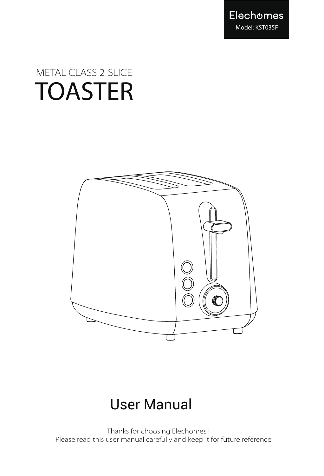

# TOASTER METAL CLASS 2-SLICE



## User Manual

 Thanks for choosing Elechomes ! Please read this user manual carefully and keep it for future reference.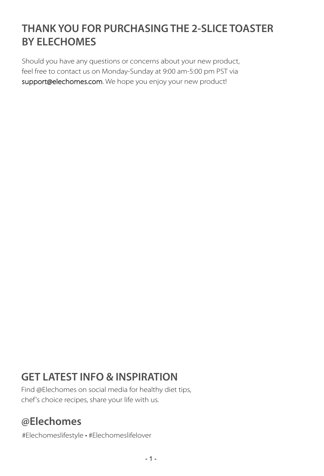### **THANK YOU FOR PURCHASING THE 2-SLICE TOASTER BY ELECHOMES**

Should you have any questions or concerns about your new product, feel free to contact us on Monday-Sunday at 9:00 am-5:00 pm PST via support@elechomes.com. We hope you enjoy your new product!

### **GET LATEST INFO & INSPIRATION**

Find @Elechomes on social media for healthy diet tips, chef's choice recipes, share your life with us.

### **@Elechomes**

#Elechomeslifestyle • #Elechomeslifelover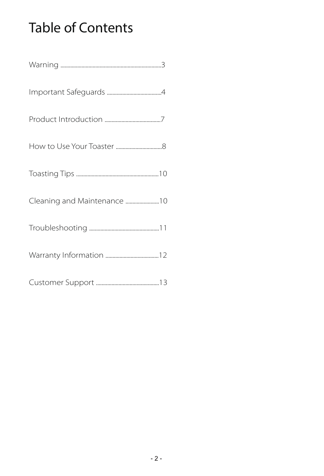## Table of Contents

| Warning |  |
|---------|--|
|---------|--|

- Important Safeguards .......................................4
- Product Introduction ........................................7
- How to Use Your Toaster .................................8
- Toasting Tips ...........................................................10
- Cleaning and Maintenance ........................10
- Troubleshooting ..................................................11
- Warranty Information ......................................12
- Customer Support .............................................13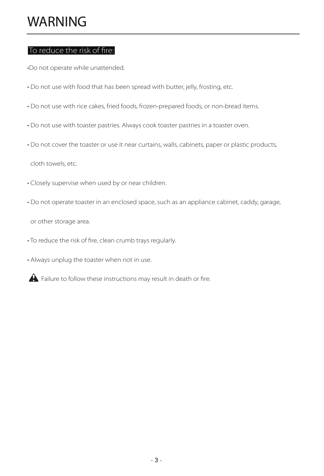### WARNING

#### To reduce the risk of fire:

•Do not operate while unattended.

- Do not use with food that has been spread with butter, jelly, frosting, etc.
- Do not use with rice cakes, fried foods, frozen-prepared foods, or non-bread items.
- Do not use with toaster pastries. Always cook toaster pastries in a toaster oven.
- Do not cover the toaster or use it near curtains, walls, cabinets, paper or plastic products,

cloth towels, etc.

- Closely supervise when used by or near children.
- Do not operate toaster in an enclosed space, such as an appliance cabinet, caddy, garage,

or other storage area.

- To reduce the risk of fire, clean crumb trays regularly.
- Always unplug the toaster when not in use.
- A Failure to follow these instructions may result in death or fire.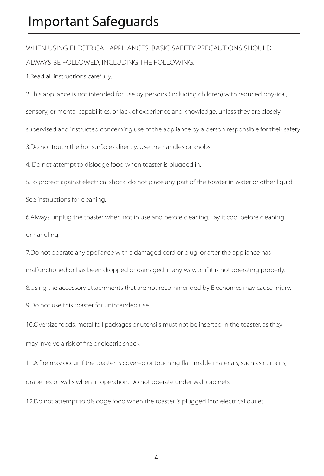### Important Safeguards

WHEN USING ELECTRICAL APPLIANCES, BASIC SAFETY PRECAUTIONS SHOULD ALWAYS BE FOLLOWED, INCLUDING THE FOLLOWING:

1.Read all instructions carefully.

2.This appliance is not intended for use by persons (including children) with reduced physical,

sensory, or mental capabilities, or lack of experience and knowledge, unless they are closely

supervised and instructed concerning use of the appliance by a person responsible for their safety

3.Do not touch the hot surfaces directly. Use the handles or knobs.

4. Do not attempt to dislodge food when toaster is plugged in.

5.To protect against electrical shock, do not place any part of the toaster in water or other liquid. See instructions for cleaning.

6.Always unplug the toaster when not in use and before cleaning. Lay it cool before cleaning or handling.

7.Do not operate any appliance with a damaged cord or plug, or after the appliance has malfunctioned or has been dropped or damaged in any way, or if it is not operating properly. 8.Using the accessory attachments that are not recommended by Elechomes may cause injury. 9.Do not use this toaster for unintended use.

10.Oversize foods, metal foil packages or utensils must not be inserted in the toaster, as they may involve a risk of fire or electric shock.

11.A fire may occur if the toaster is covered or touching flammable materials, such as curtains, draperies or walls when in operation. Do not operate under wall cabinets.

12.Do not attempt to dislodge food when the toaster is plugged into electrical outlet.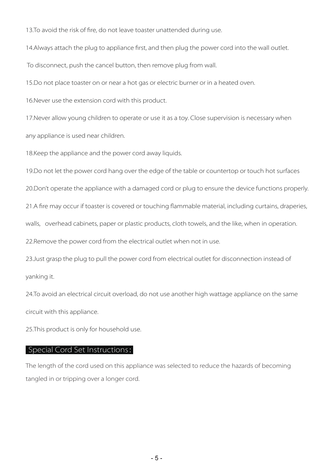13.To avoid the risk of fire, do not leave toaster unattended during use.

14.Always attach the plug to appliance first, and then plug the power cord into the wall outlet.

To disconnect, push the cancel button, then remove plug from wall.

15.Do not place toaster on or near a hot gas or electric burner or in a heated oven.

16.Never use the extension cord with this product.

17.Never allow young children to operate or use it as a toy. Close supervision is necessary when

any appliance is used near children.

18. Keep the appliance and the power cord away liquids.

19.Do not let the power cord hang over the edge of the table or countertop or touch hot surfaces

20.Don't operate the appliance with a damaged cord or plug to ensure the device functions properly.

21.A fire may occur if toaster is covered or touching flammable material, including curtains, draperies,

walls, overhead cabinets, paper or plastic products, cloth towels, and the like, when in operation.

22. Remove the power cord from the electrical outlet when not in use.

23. Just grasp the plug to pull the power cord from electrical outlet for disconnection instead of yanking it.

24.To avoid an electrical circuit overload, do not use another high wattage appliance on the same circuit with this appliance.

25.This product is only for household use.

#### Special Cord Set Instructions:

The length of the cord used on this appliance was selected to reduce the hazards of becoming tangled in or tripping over a longer cord.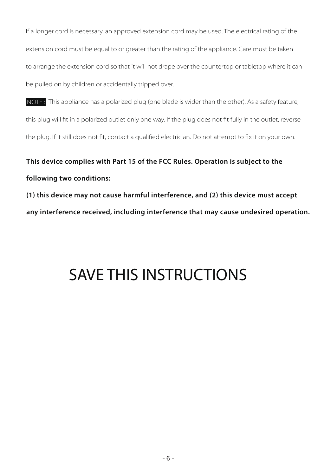If a longer cord is necessary, an approved extension cord may be used. The electrical rating of the extension cord must be equal to or greater than the rating of the appliance. Care must be taken to arrange the extension cord so that it will not drape over the countertop or tabletop where it can be pulled on by children or accidentally tripped over.

NOTE: This appliance has a polarized plug (one blade is wider than the other). As a safety feature, this plug will fit in a polarized outlet only one way. If the plug does not fit fully in the outlet, reverse the plug. If it still does not fit, contact a qualified electrician. Do not attempt to fix it on your own.

### **This device complies with Part 15 of the FCC Rules. Operation is subject to the following two conditions:**

**(1) this device may not cause harmful interference, and (2) this device must accept any interference received, including interference that may cause undesired operation.**

## SAVE THIS INSTRUCTIONS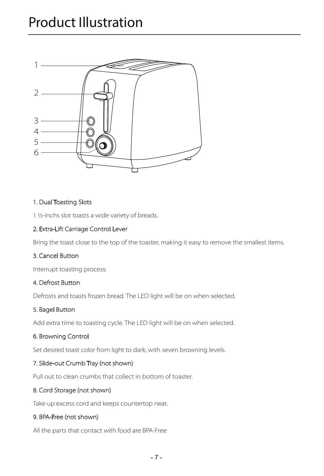

#### 1. Dual Toasting Slots

1 ½-inchs slot toasts a wide variety of breads.

#### 2. Extra-Lift Carriage Control Lever

Bring the toast close to the top of the toaster, making it easy to remove the smallest items.

#### 3. Cancel Button

Interrupt toasting process.

#### 4. Defrost Button

Defrosts and toasts frozen bread. The LED light will be on when selected.

#### 5. Bagel Button

Add extra time to toasting cycle. The LED light will be on when selected.

#### 6. Browning Control

Set desired toast color from light to dark, with seven browning levels.

#### 7. Slide-out Crumb Tray (not shown)

Pull out to clean crumbs that collect in bottom of toaster.

#### 8. Cord Storage (not shown)

Take up excess cord and keeps countertop neat.

#### 9. BPA-Free (not shown)

All the parts that contact with food are BPA-Free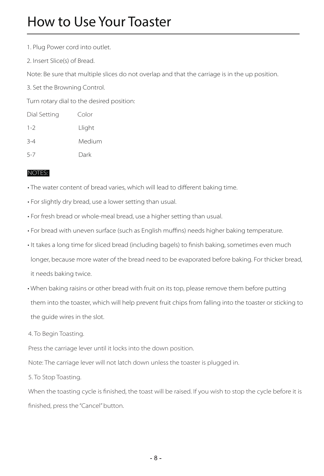### How to Use Your Toaster

- 1. Plug Power cord into outlet.
- 2. Insert Slice(s) of Bread.

Note: Be sure that multiple slices do not overlap and that the carriage is in the up position.

3. Set the Browning Control.

Turn rotary dial to the desired position:

| Dial Setting | Color  |
|--------------|--------|
| $1 - 2$      | Llight |
| $3 - 4$      | Medium |
| $5 - 7$      | Dark   |

#### NOTES:

• The water content of bread varies, which will lead to different baking time.

- For slightly dry bread, use a lower setting than usual.
- For fresh bread or whole-meal bread, use a higher setting than usual.
- For bread with uneven surface (such as English muffins) needs higher baking temperature.
- It takes a long time for sliced bread (including bagels) to finish baking, sometimes even much longer, because more water of the bread need to be evaporated before baking. For thicker bread, it needs baking twice.
- When baking raisins or other bread with fruit on its top, please remove them before putting them into the toaster, which will help prevent fruit chips from falling into the toaster or sticking to the guide wires in the slot.
- 4. To Begin Toasting.

Press the carriage lever until it locks into the down position.

Note: The carriage lever will not latch down unless the toaster is plugged in.

5. To Stop Toasting.

When the toasting cycle is finished, the toast will be raised. If you wish to stop the cycle before it is finished, press the "Cancel" button.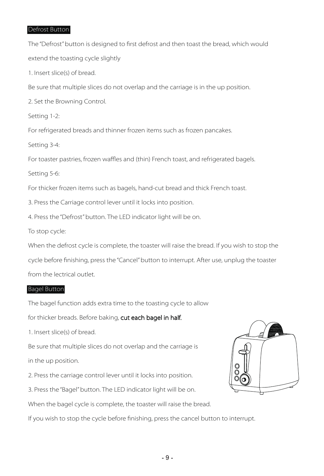#### Defrost Button

The "Defrost" button is designed to first defrost and then toast the bread, which would extend the toasting cycle slightly 1. Insert slice(s) of bread. Be sure that multiple slices do not overlap and the carriage is in the up position. 2. Set the Browning Control. Setting 1-2: For refrigerated breads and thinner frozen items such as frozen pancakes.

Setting 3-4:

For toaster pastries, frozen waffles and (thin) French toast, and refrigerated bagels.

Setting 5-6:

For thicker frozen items such as bagels, hand-cut bread and thick French toast.

3. Press the Carriage control lever until it locks into position.

4. Press the "Defrost" button. The LED indicator light will be on.

To stop cycle:

When the defrost cycle is complete, the toaster will raise the bread. If you wish to stop the

cycle before finishing, press the "Cancel" button to interrupt. After use, unplug the toaster from the lectrical outlet.

#### Bagel Button

The bagel function adds extra time to the toasting cycle to allow

for thicker breads. Before baking, cut each bagel in half.

1. Insert slice(s) of bread.

Be sure that multiple slices do not overlap and the carriage is

in the up position.

2. Press the carriage control lever until it locks into position.

3. Press the "Bagel" button. The LED indicator light will be on.

When the bagel cycle is complete, the toaster will raise the bread.

If you wish to stop the cycle before finishing, press the cancel button to interrupt.

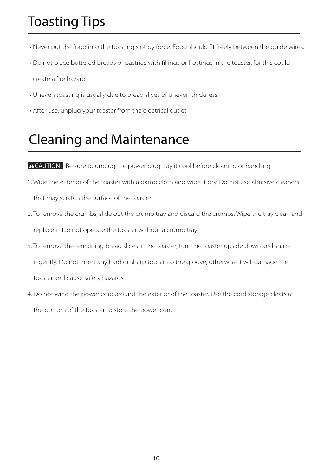## Toasting Tips

- Never put the food into the toasting slot by force. Food should fit freely between the guide wires.
- Do not place buttered breads or pastries with fillings or frostings in the toaster, for this could create a fire hazard.
- Uneven toasting is usually due to bread slices of uneven thickness.
- After use, unplug your toaster from the electrical outlet.

### Cleaning and Maintenance

ACAUTION: Be sure to unplug the power plug. Lay it cool before cleaning or handling.

- 1. Wipe the exterior of the toaster with a damp cloth and wipe it dry. Do not use abrasive cleaners that may scratch the surface of the toaster.
- 2. To remove the crumbs, slide out the crumb tray and discard the crumbs. Wipe the tray clean and replace it. Do not operate the toaster without a crumb tray.
- 3. To remove the remaining bread slices in the toaster, turn the toaster upside down and shake it gently. Do not insert any hard or sharp tools into the groove, otherwise it will damage the toaster and cause safety hazards.
- 4. Do not wind the power cord around the exterior of the toaster. Use the cord storage cleats at the bottom of the toaster to store the power cord.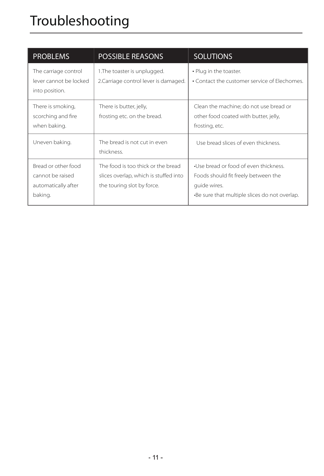## Troubleshooting

| <b>PROBLEMS</b>                                                           | <b>POSSIBLE REASONS</b>                                                                                   | <b>SOLUTIONS</b>                                                                                                                              |
|---------------------------------------------------------------------------|-----------------------------------------------------------------------------------------------------------|-----------------------------------------------------------------------------------------------------------------------------------------------|
| The carriage control<br>lever cannot be locked<br>into position.          | 1. The toaster is unplugged.<br>2. Carriage control lever is damaged.                                     | • Plug in the toaster.<br>• Contact the customer service of Elechomes.                                                                        |
| There is smoking,<br>scorching and fire<br>when baking.                   | There is butter, jelly,<br>frosting etc. on the bread.                                                    | Clean the machine; do not use bread or<br>other food coated with butter, jelly,<br>frosting, etc.                                             |
| Uneven baking.                                                            | The bread is not cut in even<br>thickness.                                                                | Use bread slices of even thickness.                                                                                                           |
| Bread or other food<br>cannot be raised<br>automatically after<br>baking. | The food is too thick or the bread<br>slices overlap, which is stuffed into<br>the touring slot by force. | •Use bread or food of even thickness.<br>Foods should fit freely between the<br>quide wires.<br>-Be sure that multiple slices do not overlap. |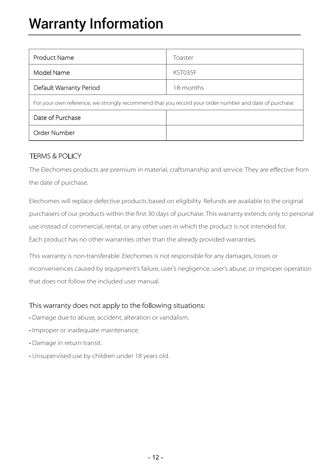## Warranty Information

| <b>Product Name</b>                                                                                   | Toaster   |  |  |
|-------------------------------------------------------------------------------------------------------|-----------|--|--|
| Model Name                                                                                            | KST035F   |  |  |
| Default Warranty Period                                                                               | 18-months |  |  |
| For your own reference, we strongly recommend that you record your order number and date of purchase. |           |  |  |
| Date of Purchase                                                                                      |           |  |  |
| Order Number                                                                                          |           |  |  |

#### TERMS & POLICY

The Elechomes products are premium in material, craftsmanship and service. They are effective from the date of purchase.

Elechomes will replace defective products based on eligibility. Refunds are available to the original purchasers of our products within the first 30 days of purchase. This warranty extends only to personal use instead of commercial, rental, or any other uses in which the product is not intended for. Each product has no other warranties other than the already provided warranties.

This warranty is non-transferable. Elechomes is not responsible for any damages, losses or inconveniences caused by equipment's failure, user's negligence, user's abuse, or improper operation that does not follow the included user manual.

#### This warranty does not apply to the following situations:

- Damage due to abuse, accident, alteration or vandalism.
- Improper or inadequate maintenance.
- Damage in return transit.
- Unsupervised use by children under 18 years old.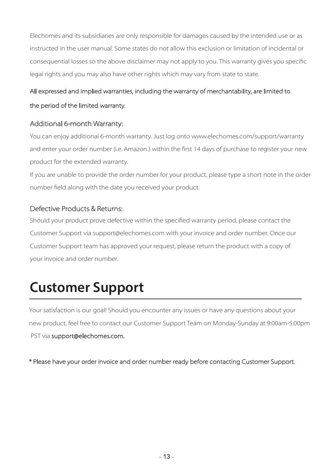Elechomes and its subsidiaries are only responsible for damages caused by the intended use or as instructed in the user manual. Some states do not allow this exclusion or limitation of incidental or consequential losses so the above disclaimer may not apply to you. This warranty gives you specific legal rights and you may also have other rights which may vary from state to state.

#### All expressed and implied warranties, including the warranty of merchantability, are limited to

#### the period of the limited warranty.

#### Additional 6-month Warranty:

You can enjoy additional 6-month warranty. Just log onto www.elechomes.com/support/warranty and enter your order number (i.e. Amazon ) within the first 14 days of purchase to register your new product for the extended warranty.

If you are unable to provide the order number for your product, please type a short note in the order number field along with the date you received your product.

#### Defective Products & Returns:

Should your product prove defective within the specified warranty period, please contact the Customer Support via support@elechomes.com with your invoice and order number. Once our Customer Support team has approved your request, please return the product with a copy of your invoice and order number.

## **Customer Support**

Your satisfaction is our goal! Should you encounter any issues or have any questions about your new product, feel free to contact our Customer Support Team on Monday-Sunday at 9:00am-5:00pm PST via support@elechomes.com.

\* Please have your order invoice and order number ready before contacting Customer Support.